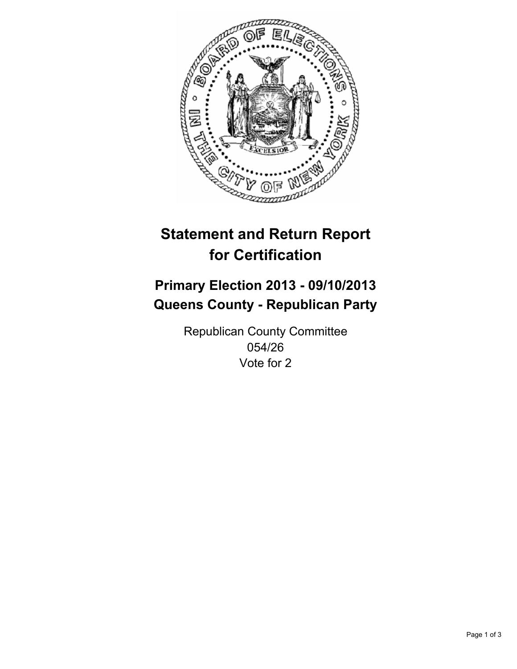

# **Statement and Return Report for Certification**

## **Primary Election 2013 - 09/10/2013 Queens County - Republican Party**

Republican County Committee 054/26 Vote for 2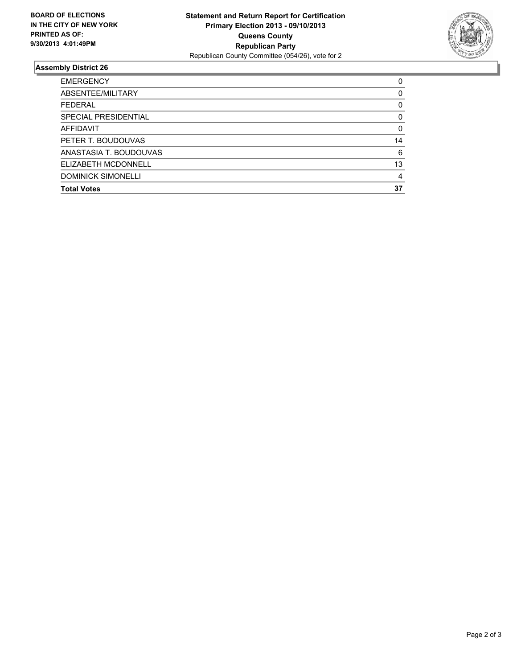

#### **Assembly District 26**

| <b>EMERGENCY</b>          | 0        |
|---------------------------|----------|
| ABSENTEE/MILITARY         | $\Omega$ |
| <b>FEDERAL</b>            | 0        |
| SPECIAL PRESIDENTIAL      | 0        |
| AFFIDAVIT                 | $\Omega$ |
| PETER T. BOUDOUVAS        | 14       |
| ANASTASIA T. BOUDOUVAS    | 6        |
| ELIZABETH MCDONNELL       | 13       |
| <b>DOMINICK SIMONELLI</b> | 4        |
| <b>Total Votes</b>        | 37       |